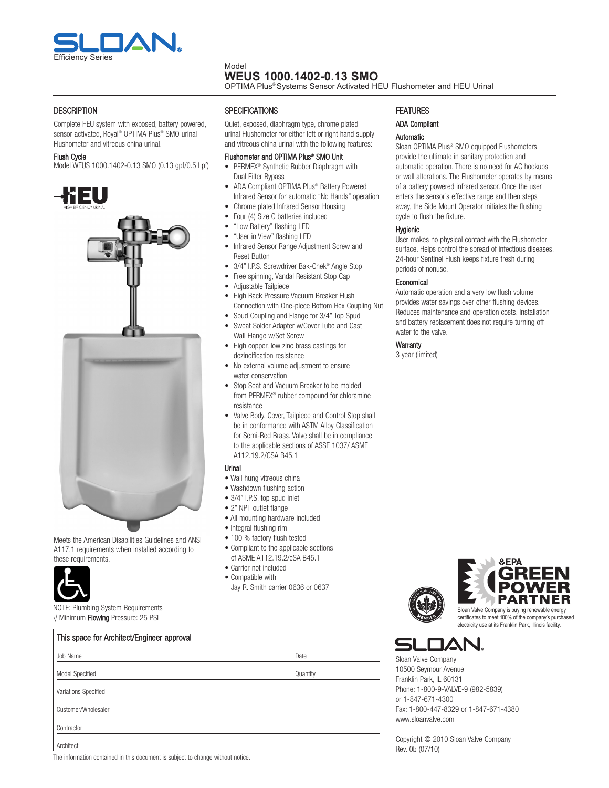

#### Model **WEUS 1000.1402-0.13 SMO**

OPTIMA Plus® Systems Sensor Activated HEU Flushometer and HEU Urinal

# **DESCRIPTION**

complete HEU system with exposed, battery powered, sensor activated, Royal ® OPTIMA Plus® SMO urinal Flushometer and vitreous china urinal.

#### Flush cycle

Model WEUS 1000.1402-0.13 SMO (0.13 gpf/0.5 Lpf)



Meets the American Disabilities Guidelines and ANSI A117.1 requirements when installed according to these requirements.

This space for Architect/Engineer approval



√ Minimum Flowing Pressure: 25 PSI

Quiet, exposed, diaphragm type, chrome plated urinal Flushometer for either left or right hand supply and vitreous china urinal with the following features:

#### Flushometer and OPTIMA Plus® SMO Unit

- PERMEX® Synthetic Rubber Diaphragm with Dual Filter Bypass
- ADA compliant OPTIMA Plus® Battery Powered Infrared Sensor for automatic "No Hands" operation
- chrome plated Infrared Sensor Housing
- Four (4) Size C batteries included
- "Low Battery" flashing LED
- "User in View" flashing LED
- Infrared Sensor Range Adjustment Screw and Reset Button
- 3/4" I.P.S. Screwdriver Bak-chek® Angle Stop
- Free spinning, Vandal Resistant Stop cap
- Adjustable Tailpiece
- High Back Pressure Vacuum Breaker Flush connection with One-piece Bottom Hex coupling Nut
- Spud coupling and Flange for 3/4" Top Spud
- Sweat Solder Adapter w/cover Tube and cast Wall Flange w/Set Screw
- High copper, low zinc brass castings for dezincification resistance
- No external volume adjustment to ensure water conservation
- Stop Seat and Vacuum Breaker to be molded from PERMEX® rubber compound for chloramine resistance
- Valve Body, Cover, Tailpiece and Control Stop shall be in conformance with ASTM Alloy classification for Semi-Red Brass. Valve shall be in compliance to the applicable sections of ASSE 1037/ ASME A112.19.2/cSA B45.1

#### Urinal

- Wall hung vitreous china
- Washdown flushing action
- 3/4" I.P.S. top spud inlet
- 2" NPT outlet flange
- All mounting hardware included
- Integral flushing rim
- 100 % factory flush tested
- compliant to the applicable sections of ASME A112.19.2/cSA B45.1
- carrier not included
- compatible with
- Jay R. Smith carrier 0636 or 0637

# **FEATURES**

# ADA compliant

### Automatic

Sloan OPTIMA Plus® SMO equipped Flushometers provide the ultimate in sanitary protection and automatic operation. There is no need for Ac hookups or wall alterations. The Flushometer operates by means of a battery powered infrared sensor. Once the user enters the sensor's effective range and then steps away, the Side Mount Operator initiates the flushing cycle to flush the fixture.

#### Hygienic

User makes no physical contact with the Flushometer surface. Helps control the spread of infectious diseases. 24-hour Sentinel Flush keeps fixture fresh during periods of nonuse.

#### Economical

Automatic operation and a very low flush volume provides water savings over other flushing devices. Reduces maintenance and operation costs. Installation and battery replacement does not require turning off water to the valve.

#### **Warranty**

3 year (limited)



certificates to meet 100% of the company's purchased electricity use at its Franklin Park, Illinois facility.

Sloan Valve company 10500 Seymour Avenue Franklin Park, IL 60131 Phone: 1-800-9-VALVE-9 (982-5839) or 1-847-671-4300 Fax: 1-800-447-8329 or 1-847-671-4380 www.sloanvalve.com

copyright © 2010 Sloan Valve company Rev. 0b (07/10)

| Job Name                                                                       | Date     |
|--------------------------------------------------------------------------------|----------|
| Model Specified                                                                | Quantity |
| Variations Specified                                                           |          |
| Customer/Wholesaler                                                            |          |
| Contractor                                                                     |          |
| Architect                                                                      |          |
| The information contained in this decument is subject to change without notice |          |

The information contained in this document is subject to change without notice.



NOTE: Plumbing System Requirements